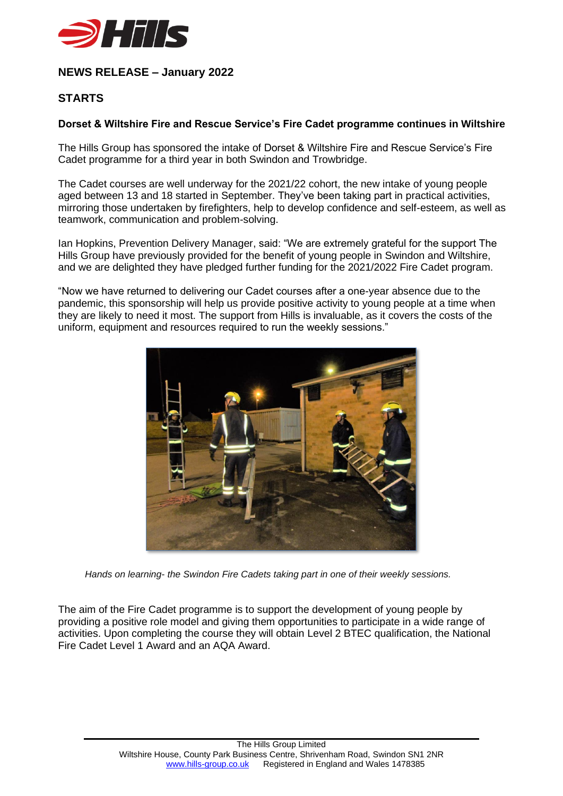

## **NEWS RELEASE – January 2022**

## **STARTS**

## **Dorset & Wiltshire Fire and Rescue Service's Fire Cadet programme continues in Wiltshire**

The Hills Group has sponsored the intake of Dorset & Wiltshire Fire and Rescue Service's Fire Cadet programme for a third year in both Swindon and Trowbridge.

The Cadet courses are well underway for the 2021/22 cohort, the new intake of young people aged between 13 and 18 started in September. They've been taking part in practical activities, mirroring those undertaken by firefighters, help to develop confidence and self-esteem, as well as teamwork, communication and problem-solving.

Ian Hopkins, Prevention Delivery Manager, said: "We are extremely grateful for the support The Hills Group have previously provided for the benefit of young people in Swindon and Wiltshire, and we are delighted they have pledged further funding for the 2021/2022 Fire Cadet program.

"Now we have returned to delivering our Cadet courses after a one-year absence due to the pandemic, this sponsorship will help us provide positive activity to young people at a time when they are likely to need it most. The support from Hills is invaluable, as it covers the costs of the uniform, equipment and resources required to run the weekly sessions."



*Hands on learning- the Swindon Fire Cadets taking part in one of their weekly sessions.*

The aim of the Fire Cadet programme is to support the development of young people by providing a positive role model and giving them opportunities to participate in a wide range of activities. Upon completing the course they will obtain Level 2 BTEC qualification, the National Fire Cadet Level 1 Award and an AQA Award.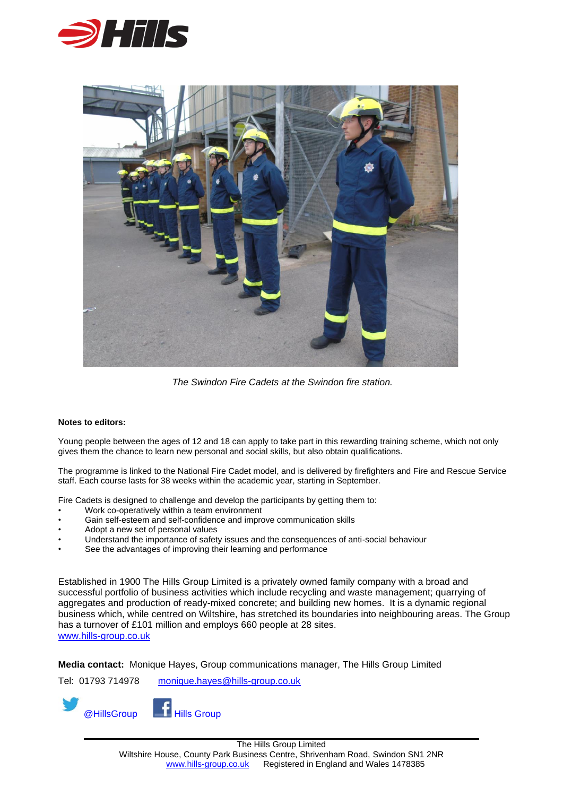



*The Swindon Fire Cadets at the Swindon fire station.*

## **Notes to editors:**

Young people between the ages of 12 and 18 can apply to take part in this rewarding training scheme, which not only gives them the chance to learn new personal and social skills, but also obtain qualifications.

The programme is linked to the National Fire Cadet model, and is delivered by firefighters and Fire and Rescue Service staff. Each course lasts for 38 weeks within the academic year, starting in September.

Fire Cadets is designed to challenge and develop the participants by getting them to:

- Work co-operatively within a team environment
- Gain self-esteem and self-confidence and improve communication skills
- Adopt a new set of personal values
- Understand the importance of safety issues and the consequences of anti-social behaviour
- See the advantages of improving their learning and performance

Established in 1900 The Hills Group Limited is a privately owned family company with a broad and successful portfolio of business activities which include recycling and waste management; quarrying of aggregates and production of ready-mixed concrete; and building new homes. It is a dynamic regional business which, while centred on Wiltshire, has stretched its boundaries into neighbouring areas. The Group has a turnover of £101 million and employs 660 people at 28 sites. [www.hills-group.co.uk](http://www.hills-group.co.uk/)

**Media contact:** Monique Hayes, Group communications manager, The Hills Group Limited

Tel: 01793 714978 [monique.hayes@hills-group.co.uk](mailto:monique.hayes@hills-group.co.uk)

@HillsGroup Hills Group